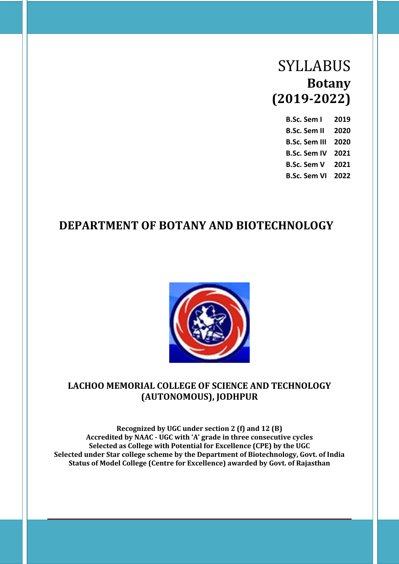# **SYLLABUS Botany (2019-2022)**

| <b>B.Sc. Sem I</b>   | 2019 |
|----------------------|------|
| <b>B.Sc. Sem II</b>  | 2020 |
| <b>B.Sc. Sem III</b> | 2020 |
| <b>B.Sc. Sem IV</b>  | 2021 |
| <b>B.Sc. Sem V</b>   | 2021 |
| <b>B.Sc. Sem VI</b>  | 2022 |
|                      |      |

## **DEPARTMENT OF BOTANY AND BIOTECHNOLOGY**



## **LACHOO MEMORIAL COLLEGE OF SCIENCE AND TECHNOLOGY (AUTONOMOUS), JODHPUR**

**Recognized by UGC under section 2 (f) and 12 (B) Accredited by NAAC - UGC with 'A' grade in three consecutive cycles Selected as College with Potential for Excellence (CPE) by the UGC Selected under Star college scheme by the Department of Biotechnology, Govt. of India Status of Model College (Centre for Excellence) awarded by Govt. of Rajasthan**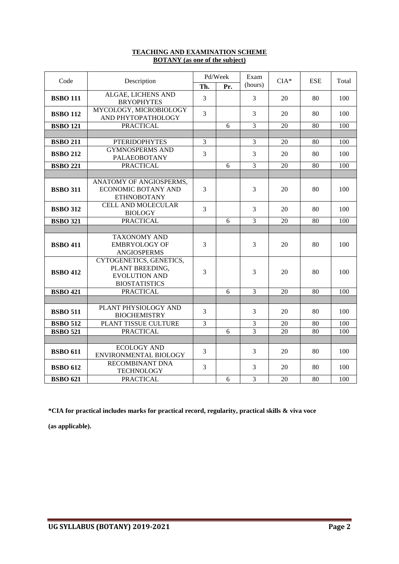| Code            | Description                                                                                | Pd/Week        |     | Exam           | $CIA*$ | <b>ESE</b> | Total |
|-----------------|--------------------------------------------------------------------------------------------|----------------|-----|----------------|--------|------------|-------|
|                 |                                                                                            | Th.            | Pr. | (hours)        |        |            |       |
| <b>BSBO 111</b> | <b>ALGAE, LICHENS AND</b><br><b>BRYOPHYTES</b>                                             | $\overline{3}$ |     | 3              | 20     | 80         | 100   |
| <b>BSBO 112</b> | MYCOLOGY, MICROBIOLOGY<br>AND PHYTOPATHOLOGY                                               | 3              |     | 3              | 20     | 80         | 100   |
| <b>BSBO 121</b> | <b>PRACTICAL</b>                                                                           |                | 6   | $\overline{3}$ | 20     | 80         | 100   |
|                 |                                                                                            |                |     |                |        |            |       |
| <b>BSBO 211</b> | <b>PTERIDOPHYTES</b>                                                                       | $\mathfrak{Z}$ |     | $\overline{3}$ | 20     | 80         | 100   |
| <b>BSBO 212</b> | <b>GYMNOSPERMS AND</b><br><b>PALAEOBOTANY</b>                                              | 3              |     | 3              | 20     | 80         | 100   |
| <b>BSBO 221</b> | <b>PRACTICAL</b>                                                                           |                | 6   | $\overline{3}$ | 20     | 80         | 100   |
|                 |                                                                                            |                |     |                |        |            |       |
| <b>BSBO 311</b> | ANATOMY OF ANGIOSPERMS,<br><b>ECONOMIC BOTANY AND</b><br><b>ETHNOBOTANY</b>                | 3              |     | 3              | 20     | 80         | 100   |
| <b>BSBO 312</b> | <b>CELL AND MOLECULAR</b><br><b>BIOLOGY</b>                                                | $\overline{3}$ |     | 3              | 20     | 80         | 100   |
| <b>BSBO 321</b> | <b>PRACTICAL</b>                                                                           |                | 6   | $\overline{3}$ | 20     | 80         | 100   |
|                 |                                                                                            |                |     |                |        |            |       |
| <b>BSBO 411</b> | <b>TAXONOMY AND</b><br><b>EMBRYOLOGY OF</b><br><b>ANGIOSPERMS</b>                          | 3              |     | 3              | 20     | 80         | 100   |
| <b>BSBO 412</b> | CYTOGENETICS, GENETICS,<br>PLANT BREEDING,<br><b>EVOLUTION AND</b><br><b>BIOSTATISTICS</b> | 3              |     | 3              | 20     | 80         | 100   |
| <b>BSBO 421</b> | <b>PRACTICAL</b>                                                                           |                | 6   | $\overline{3}$ | 20     | 80         | 100   |
|                 |                                                                                            |                |     |                |        |            |       |
| <b>BSBO 511</b> | PLANT PHYSIOLOGY AND<br><b>BIOCHEMISTRY</b>                                                | $\overline{3}$ |     | 3              | 20     | 80         | 100   |
| <b>BSBO 512</b> | PLANT TISSUE CULTURE                                                                       | 3              |     | $\overline{3}$ | 20     | 80         | 100   |
| <b>BSBO 521</b> | <b>PRACTICAL</b>                                                                           |                | 6   | 3              | 20     | 80         | 100   |
|                 |                                                                                            |                |     |                |        |            |       |
| <b>BSBO 611</b> | <b>ECOLOGY AND</b><br>ENVIRONMENTAL BIOLOGY                                                | 3              |     | 3              | 20     | 80         | 100   |
| <b>BSBO 612</b> | RECOMBINANT DNA<br><b>TECHNOLOGY</b>                                                       | 3              |     | 3              | 20     | 80         | 100   |
| <b>BSBO 621</b> | <b>PRACTICAL</b>                                                                           |                | 6   | $\overline{3}$ | 20     | 80         | 100   |

#### **TEACHING AND EXAMINATION SCHEME BOTANY (as one of the subject)**

**\*CIA for practical includes marks for practical record, regularity, practical skills & viva voce**

**(as applicable).**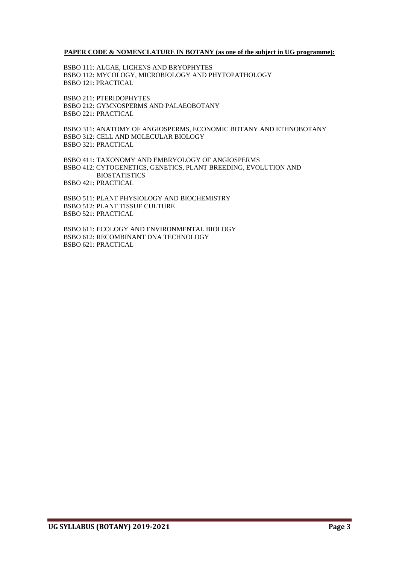#### **PAPER CODE & NOMENCLATURE IN BOTANY (as one of the subject in UG programme):**

BSBO 111: ALGAE, LICHENS AND BRYOPHYTES BSBO 112: MYCOLOGY, MICROBIOLOGY AND PHYTOPATHOLOGY BSBO 121: PRACTICAL

BSBO 211: PTERIDOPHYTES BSBO 212: GYMNOSPERMS AND PALAEOBOTANY BSBO 221: PRACTICAL

BSBO 311: ANATOMY OF ANGIOSPERMS, ECONOMIC BOTANY AND ETHNOBOTANY BSBO 312: CELL AND MOLECULAR BIOLOGY BSBO 321: PRACTICAL

BSBO 411: TAXONOMY AND EMBRYOLOGY OF ANGIOSPERMS BSBO 412: CYTOGENETICS, GENETICS, PLANT BREEDING, EVOLUTION AND **BIOSTATISTICS** BSBO 421: PRACTICAL

BSBO 511: PLANT PHYSIOLOGY AND BIOCHEMISTRY BSBO 512: PLANT TISSUE CULTURE BSBO 521: PRACTICAL

BSBO 611: ECOLOGY AND ENVIRONMENTAL BIOLOGY BSBO 612: RECOMBINANT DNA TECHNOLOGY BSBO 621: PRACTICAL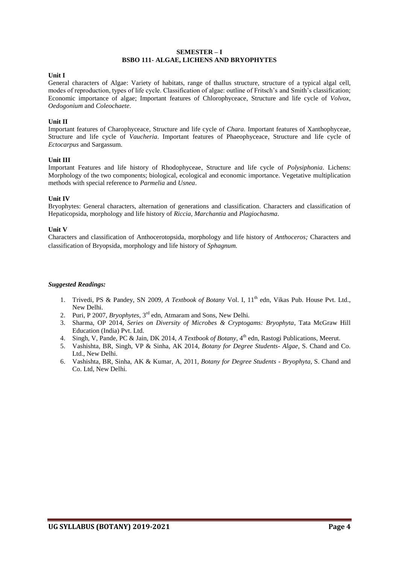#### **SEMESTER – I BSBO 111- ALGAE, LICHENS AND BRYOPHYTES**

#### **Unit I**

General characters of Algae: Variety of habitats, range of thallus structure, structure of a typical algal cell, modes of reproduction, types of life cycle. Classification of algae: outline of Fritsch's and Smith's classification; Economic importance of algae; Important features of Chlorophyceace, Structure and life cycle of *Volvox*, *Oedogonium* and *Coleochaete*.

#### **Unit II**

Important features of Charophyceace, Structure and life cycle of *Chara.* Important features of Xanthophyceae, Structure and life cycle of *Vaucheria*. Important features of Phaeophyceace, Structure and life cycle of *Ectocarpus* and Sargassum.

#### **Unit III**

Important Features and life history of Rhodophyceae, Structure and life cycle of *Polysiphonia*. Lichens: Morphology of the two components; biological, ecological and economic importance. Vegetative multiplication methods with special reference to *Parmelia* and *Usnea*.

#### **Unit IV**

Bryophytes: General characters, alternation of generations and classification. Characters and classification of Hepaticopsida, morphology and life history of *Riccia, Marchantia* and *Plagiochasma*.

#### **Unit V**

Characters and classification of Anthocerotopsida, morphology and life history of *Anthoceros;* Characters and classification of Bryopsida, morphology and life history of *Sphagnum.*

- 1. Trivedi, PS & Pandey, SN 2009, *A Textbook of Botany* Vol. I, 11<sup>th</sup> edn, Vikas Pub. House Pvt. Ltd., New Delhi.
- 2. Puri, P 2007, *Bryophytes,* 3 rd edn, Atmaram and Sons, New Delhi.
- 3. Sharma, OP 2014, *Series on Diversity of Microbes & Cryptogams: Bryophyta*, Tata McGraw Hill Education (India) Pvt. Ltd.
- 4. Singh, V, Pande, PC & Jain, DK 2014, *A Textbook of Botany*, 4<sup>th</sup> edn, Rastogi Publications, Meerut.
- 5. Vashishta, BR, Singh, VP & Sinha, AK 2014, *Botany for Degree Students- Algae*, S. Chand and Co. Ltd., New Delhi.
- 6. Vashishta, BR, Sinha, AK & Kumar, A, 2011, *Botany for Degree Students - Bryophyta*, S. Chand and Co. Ltd, New Delhi.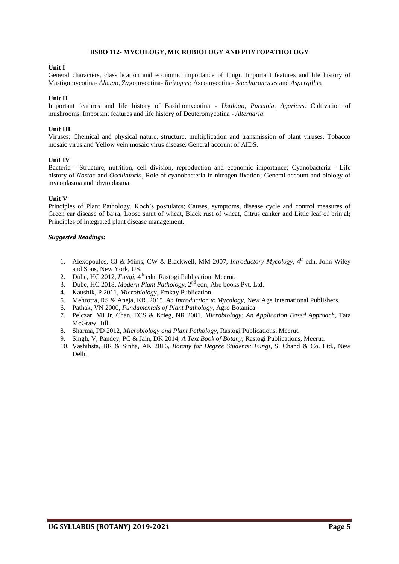#### **BSBO 112- MYCOLOGY, MICROBIOLOGY AND PHYTOPATHOLOGY**

#### **Unit I**

General characters, classification and economic importance of fungi. Important features and life history of Mastigomycotina- *Albugo,* Zygomycotina- *Rhizopus;* Ascomycotina- *Saccharomyces* and *Aspergillus.*

#### **Unit II**

Important features and life history of Basidiomycotina - *Ustilago, Puccinia, Agaricus*. Cultivation of mushrooms. Important features and life history of Deuteromycotina - *Alternaria.*

#### **Unit III**

Viruses: Chemical and physical nature, structure, multiplication and transmission of plant viruses. Tobacco mosaic virus and Yellow vein mosaic virus disease. General account of AIDS.

#### **Unit IV**

Bacteria - Structure, nutrition, cell division, reproduction and economic importance; Cyanobacteria - Life history of *Nostoc* and *Oscillatoria,* Role of cyanobacteria in nitrogen fixation; General account and biology of mycoplasma and phytoplasma.

#### **Unit V**

Principles of Plant Pathology, Koch's postulates; Causes, symptoms, disease cycle and control measures of Green ear disease of bajra, Loose smut of wheat, Black rust of wheat, Citrus canker and Little leaf of brinjal; Principles of integrated plant disease management.

- 1. Alexopoulos, CJ & Mims, CW & Blackwell, MM 2007, *Introductory Mycology*, 4<sup>th</sup> edn, John Wiley and Sons, New York, US.
- 2. Dube, HC 2012, *Fungi*, 4<sup>th</sup> edn, Rastogi Publication, Meerut.
- 3. Dube, HC 2018, *Modern Plant Pathology*, 2<sup>nd</sup> edn, Abe books Pvt. Ltd.
- 4. Kaushik, P 2011, *Microbiology*, Emkay Publication.
- 5. Mehrotra, RS & Aneja, KR, 2015, *An Introduction to Mycology*, New Age International Publishers.
- 6. Pathak, VN 2000, *Fundamentals of Plant Pathology*, Agro Botanica.
- 7. Pelczar, MJ Jr, Chan, ECS & Krieg, NR 2001, *Microbiology: An Application Based Approach*, Tata McGraw Hill.
- 8. Sharma, PD 2012, *Microbiology and Plant Pathology*, Rastogi Publications, Meerut.
- 9. Singh, V, Pandey, PC & Jain, DK 2014, *A Text Book of Botany*, Rastogi Publications, Meerut.
- 10. Vashihsta, BR & Sinha, AK 2016, *Botany for Degree Students: Fungi*, S. Chand & Co. Ltd., New Delhi.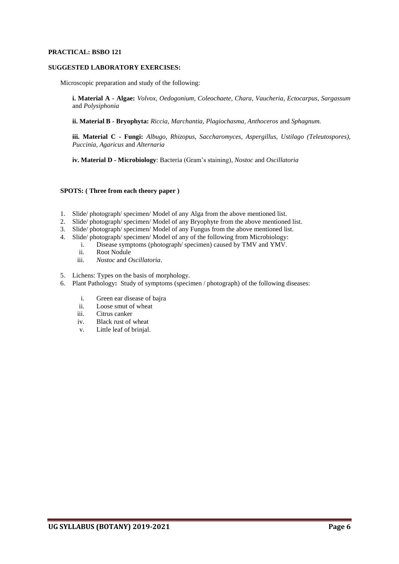#### **SUGGESTED LABORATORY EXERCISES:**

Microscopic preparation and study of the following:

**i. Material A - Algae:** *Volvox, Oedogonium, Coleochaete, Chara, Vaucheria, Ectocarpus, Sargassum* and *Polysiphonia*

**ii. Material B - Bryophyta:** *Riccia, Marchantia, Plagiochasma, Anthoceros* and *Sphagnum.*

**iii. Material C - Fungi:** *Albugo, Rhizopus, Saccharomyces, Aspergillus, Ustilago (Teleutospores), Puccinia, Agaricus* and *Alternaria*

**iv. Material D - Microbiology**: Bacteria (Gram's staining), *Nostoc* and *Oscillatoria*

#### **SPOTS: ( Three from each theory paper )**

- 1. Slide/ photograph/ specimen/ Model of any Alga from the above mentioned list.
- 2. Slide/ photograph/ specimen/ Model of any Bryophyte from the above mentioned list.
- 3. Slide/ photograph/ specimen/ Model of any Fungus from the above mentioned list.
- 4. Slide/ photograph/ specimen/ Model of any of the following from Microbiology:
	- i. Disease symptoms (photograph/ specimen) caused by TMV and YMV.
	- ii. Root Nodule<br>iii. *Nostoc* and *C*
	- *Nostoc* and *Oscillatoria*.
- 5. Lichens: Types on the basis of morphology.
- 6. Plant Pathology**:** Study of symptoms (specimen / photograph) of the following diseases:
	- i. Green ear disease of bajra
	- ii. Loose smut of wheat
	- iii. Citrus canker
	- iv. Black rust of wheat
	- v. Little leaf of brinjal.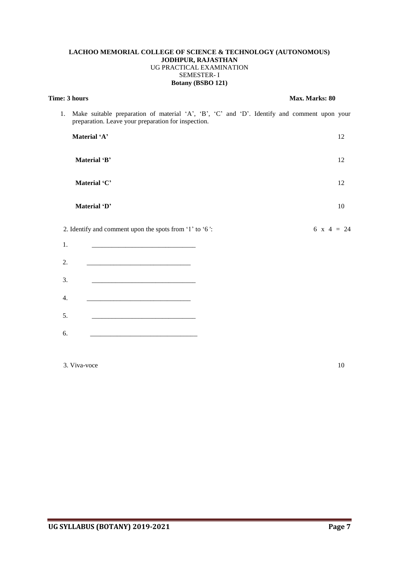#### **LACHOO MEMORIAL COLLEGE OF SCIENCE & TECHNOLOGY (AUTONOMOUS) JODHPUR, RAJASTHAN** UG PRACTICAL EXAMINATION SEMESTER- I **Botany (BSBO 121)**

1. Make suitable preparation of material 'A', 'B', 'C' and 'D'. Identify and comment upon your

**Time: 3 hours** Max. Marks: 80

# preparation. Leave your preparation for inspection. **Material 'A'** 12 **Material 'B'** 12 **Material 'C'** 12 **Material 'D'** 10 2. Identify and comment upon the spots from '1' to '6': 6  $\times$  4 = 24 1. \_\_\_\_\_\_\_\_\_\_\_\_\_\_\_\_\_\_\_\_\_\_\_\_\_\_\_\_\_\_\_ 2. \_\_\_\_\_\_\_\_\_\_\_\_\_\_\_\_\_\_\_\_\_\_\_\_\_\_\_\_\_\_\_ 3. <u>\_\_\_\_\_\_\_\_\_\_\_\_\_\_\_\_\_\_\_\_\_\_\_\_\_\_\_\_\_\_\_\_\_</u> 4. <u>\_\_\_\_\_\_\_\_\_\_\_\_\_\_\_\_\_\_\_\_\_\_\_\_\_\_\_\_\_\_\_\_\_\_</u> 5. \_\_\_\_\_\_\_\_\_\_\_\_\_\_\_\_\_\_\_\_\_\_\_\_\_\_\_\_\_\_\_  $6.$

 $3. \text{Viva-voce}$  10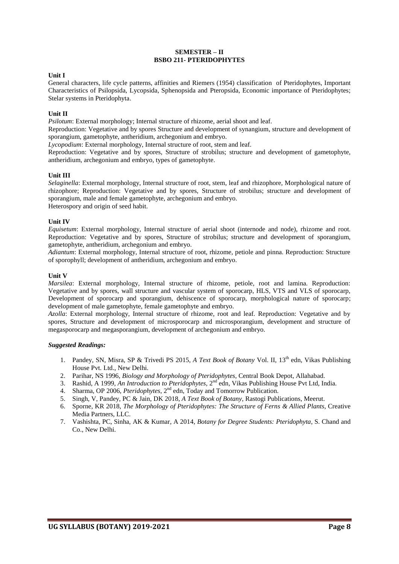#### **SEMESTER – II BSBO 211- PTERIDOPHYTES**

#### **Unit I**

General characters, life cycle patterns, affinities and Riemers (1954) classification of Pteridophytes, Important Characteristics of Psilopsida, Lycopsida, Sphenopsida and Pteropsida, Economic importance of Pteridophytes; Stelar systems in Pteridophyta.

#### **Unit II**

*Psilotum*: External morphology; Internal structure of rhizome, aerial shoot and leaf.

Reproduction: Vegetative and by spores Structure and development of synangium, structure and development of sporangium, gametophyte, antheridium, archegonium and embryo.

*Lycopodium*: External morphology, Internal structure of root, stem and leaf.

Reproduction: Vegetative and by spores, Structure of strobilus; structure and development of gametophyte, antheridium, archegonium and embryo, types of gametophyte.

#### **Unit III**

*Selaginella*: External morphology, Internal structure of root, stem, leaf and rhizophore, Morphological nature of rhizophore; Reproduction: Vegetative and by spores, Structure of strobilus; structure and development of sporangium, male and female gametophyte, archegonium and embryo.

Heterospory and origin of seed habit.

#### **Unit IV**

*Equisetum*: External morphology, Internal structure of aerial shoot (internode and node), rhizome and root. Reproduction: Vegetative and by spores, Structure of strobilus; structure and development of sporangium, gametophyte, antheridium, archegonium and embryo.

*Adiantum*: External morphology, Internal structure of root, rhizome, petiole and pinna. Reproduction: Structure of sporophyll; development of antheridium, archegonium and embryo.

#### **Unit V**

*Marsilea*: External morphology, Internal structure of rhizome, petiole, root and lamina. Reproduction: Vegetative and by spores, wall structure and vascular system of sporocarp, HLS, VTS and VLS of sporocarp, Development of sporocarp and sporangium, dehiscence of sporocarp, morphological nature of sporocarp; development of male gametophyte, female gametophyte and embryo.

*Azolla*: External morphology, Internal structure of rhizome, root and leaf. Reproduction: Vegetative and by spores, Structure and development of microsporocarp and microsporangium, development and structure of megasporocarp and megasporangium, development of archegonium and embryo.

- 1. Pandey, SN, Misra, SP & Trivedi PS 2015, *A Text Book of Botany* Vol. II, 13th edn, Vikas Publishing House Pvt. Ltd., New Delhi.
- 2. Parihar, NS 1996, *Biology and Morphology of Pteridophytes,* Central Book Depot, Allahabad.
- 3. Rashid, A 1999, An Introduction to Pteridophytes, 2<sup>nd</sup> edn, Vikas Publishing House Pvt Ltd, India.
- 4. Sharma, OP 2006, *Pteridophytes*, 2<sup>nd</sup> edn, Today and Tomorrow Publication.
- 5. Singh, V, Pandey, PC & Jain, DK 2018, *A Text Book of Botany*, Rastogi Publications, Meerut.
- 6. Sporne, KR 2018, *The Morphology of Pteridophytes: The Structure of Ferns & Allied Plants*, Creative Media Partners, LLC.
- 7. Vashishta, PC, Sinha, AK & Kumar, A 2014, *Botany for Degree Students: Pteridophyta*, S. Chand and Co., New Delhi.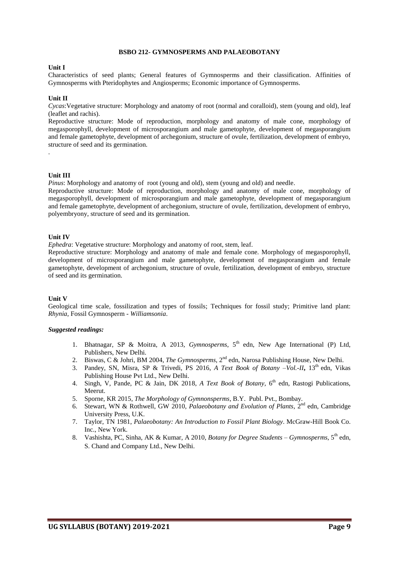#### **BSBO 212- GYMNOSPERMS AND PALAEOBOTANY**

#### **Unit I**

Characteristics of seed plants; General features of Gymnosperms and their classification. Affinities of Gymnosperms with Pteridophytes and Angiosperms; Economic importance of Gymnosperms.

#### **Unit II**

*Cycas*:Vegetative structure: Morphology and anatomy of root (normal and coralloid), stem (young and old), leaf (leaflet and rachis).

Reproductive structure: Mode of reproduction, morphology and anatomy of male cone, morphology of megasporophyll, development of microsporangium and male gametophyte, development of megasporangium and female gametophyte, development of archegonium, structure of ovule, fertilization, development of embryo, structure of seed and its germination.

#### **Unit III**

.

*Pinus*: Morphology and anatomy of root (young and old), stem (young and old) and needle.

Reproductive structure: Mode of reproduction, morphology and anatomy of male cone, morphology of megasporophyll, development of microsporangium and male gametophyte, development of megasporangium and female gametophyte, development of archegonium, structure of ovule, fertilization, development of embryo, polyembryony, structure of seed and its germination.

#### **Unit IV**

*Ephedra*: Vegetative structure: Morphology and anatomy of root, stem, leaf.

Reproductive structure: Morphology and anatomy of male and female cone. Morphology of megasporophyll, development of microsporangium and male gametophyte, development of megasporangium and female gametophyte, development of archegonium, structure of ovule, fertilization, development of embryo, structure of seed and its germination.

#### **Unit V**

Geological time scale, fossilization and types of fossils; Techniques for fossil study; Primitive land plant: *Rhynia*, Fossil Gymnosperm - *Williamsonia*.

- 1. Bhatnagar, SP & Moitra, A 2013, *Gymnosperms*, 5<sup>th</sup> edn, New Age International (P) Ltd, Publishers, New Delhi.
- 2. Biswas, C & Johri, BM 2004, *The Gymnosperms*, 2<sup>nd</sup> edn, Narosa Publishing House, New Delhi.
- 3. Pandey, SN, Misra, SP & Trivedi, PS 2016, *A Text Book of Botany –Vol.-II***,** 13 th edn, Vikas Publishing House Pvt Ltd., New Delhi.
- 4. Singh, V, Pande, PC & Jain, DK 2018, *A Text Book of Botany*, 6<sup>th</sup> edn, Rastogi Publications, Meerut.
- 5. Sporne, KR 2015, *The Morphology of Gymnonsperms*, B.Y. Publ. Pvt., Bombay.
- 6. Stewart, WN & Rothwell, GW 2010, *Palaeobotany and Evolution of Plants*, 2<sup>nd</sup> edn, Cambridge University Press, U.K.
- 7. Taylor, TN 1981, *Palaeobotany: An Introduction to Fossil Plant Biology*. McGraw-Hill Book Co. Inc., New York.
- 8. Vashishta, PC, Sinha, AK & Kumar, A 2010, *Botany for Degree Students Gymnosperms*, 5<sup>th</sup> edn, S. Chand and Company Ltd., New Delhi.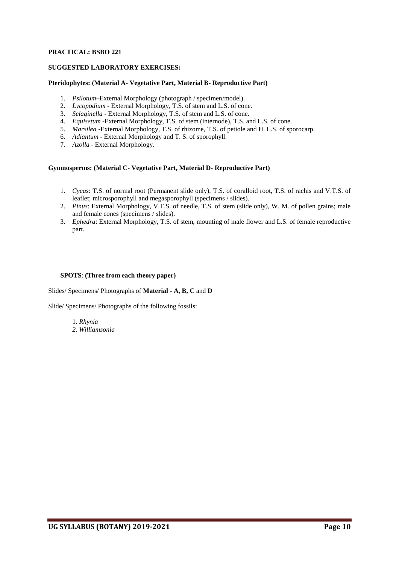#### **SUGGESTED LABORATORY EXERCISES:**

#### **Pteridophytes: (Material A- Vegetative Part, Material B- Reproductive Part)**

- 1. *Psilotum*–External Morphology (photograph / specimen/model).
- 2. *Lycopodium* External Morphology, T.S. of stem and L.S. of cone.
- 3. *Selaginella* External Morphology, T.S. of stem and L.S. of cone.
- 4. *Equisetum* -External Morphology, T.S. of stem (internode), T.S. and L.S. of cone.
- 5. *Marsilea* -External Morphology, T.S. of rhizome, T.S. of petiole and H. L.S. of sporocarp.
- 6. *Adiantum* External Morphology and T. S. of sporophyll.
- 7. *Azolla* External Morphology.

#### **Gymnosperms: (Material C- Vegetative Part, Material D- Reproductive Part)**

- 1. *Cycas*: T.S. of normal root (Permanent slide only), T.S. of coralloid root, T.S. of rachis and V.T.S. of leaflet; microsporophyll and megasporophyll (specimens / slides).
- 2. *Pinus*: External Morphology, V.T.S. of needle, T.S. of stem (slide only), W. M. of pollen grains; male and female cones (specimens / slides).
- 3. *Ephedra*: External Morphology, T.S. of stem, mounting of male flower and L.S. of female reproductive part.

#### **SPOTS**: **(Three from each theory paper)**

Slides/ Specimens/ Photographs of **Material - A, B, C** and **D**

Slide/ Specimens/ Photographs of the following fossils:

- 1. *Rhynia*
- *2. Williamsonia*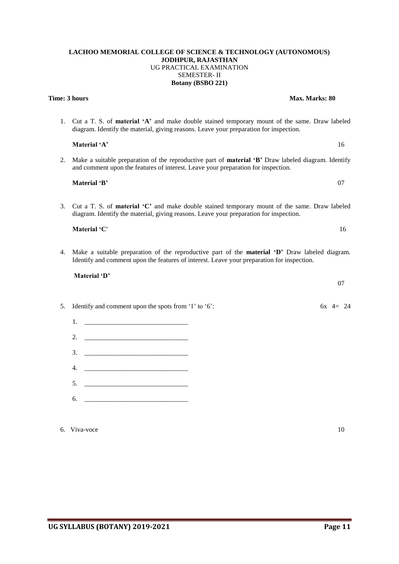### **LACHOO MEMORIAL COLLEGE OF SCIENCE & TECHNOLOGY (AUTONOMOUS) JODHPUR, RAJASTHAN** UG PRACTICAL EXAMINATION SEMESTER- II

#### **Botany (BSBO 221)**

**Time: 3 hours** Max. Marks: 80

#### 1. Cut a T. S. of **material 'A'** and make double stained temporary mount of the same. Draw labeled diagram. Identify the material, giving reasons. Leave your preparation for inspection.

**Material 'A'** 16

- 2. Make a suitable preparation of the reproductive part of **material 'B'** Draw labeled diagram. Identify and comment upon the features of interest. Leave your preparation for inspection.
- **Material 'B'** 07
- 3. Cut a T. S. of **material 'C'** and make double stained temporary mount of the same. Draw labeled diagram. Identify the material, giving reasons. Leave your preparation for inspection.

**Material 'C'** 16

4. Make a suitable preparation of the reproductive part of the **material 'D'** Draw labeled diagram. Identify and comment upon the features of interest. Leave your preparation for inspection.

| Material 'D' |  |
|--------------|--|
|--------------|--|

- 5. Identify and comment upon the spots from '1' to '6': 6 $\frac{4}{5}$  6x 4= 24 1. \_\_\_\_\_\_\_\_\_\_\_\_\_\_\_\_\_\_\_\_\_\_\_\_\_\_\_\_\_\_\_ 2. \_\_\_\_\_\_\_\_\_\_\_\_\_\_\_\_\_\_\_\_\_\_\_\_\_\_\_\_\_\_\_ 3. \_\_\_\_\_\_\_\_\_\_\_\_\_\_\_\_\_\_\_\_\_\_\_\_\_\_\_\_\_\_\_ 4. \_\_\_\_\_\_\_\_\_\_\_\_\_\_\_\_\_\_\_\_\_\_\_\_\_\_\_\_\_\_\_  $5.$ 
	- $6.$
- 6. Viva-voce 10

07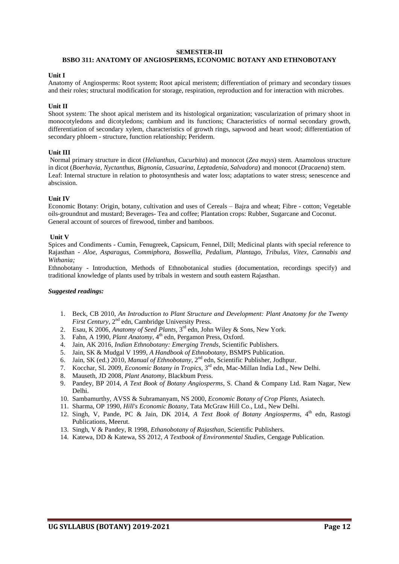#### **SEMESTER-III**

#### **BSBO 311: ANATOMY OF ANGIOSPERMS, ECONOMIC BOTANY AND ETHNOBOTANY**

#### **Unit I**

Anatomy of Angiosperms: Root system; Root apical meristem; differentiation of primary and secondary tissues and their roles; structural modification for storage, respiration, reproduction and for interaction with microbes.

#### **Unit II**

Shoot system: The shoot apical meristem and its histological organization; vascularization of primary shoot in monocotyledons and dicotyledons; cambium and its functions; Characteristics of normal secondary growth, differentiation of secondary xylem, characteristics of growth rings, sapwood and heart wood; differentiation of secondary phloem - structure, function relationship; Periderm.

#### **Unit III**

Normal primary structure in dicot (*Helianthus, Cucurbita*) and monocot (*Zea mays*) stem. Anamolous structure in dicot (*Boerhavia, Nyctanthus, Bignonia, Casuarina, Leptadenia, Salvadora*) and monocot (*Dracaena*) stem. Leaf: Internal structure in relation to photosynthesis and water loss; adaptations to water stress; senescence and abscission.

#### **Unit IV**

Economic Botany: Origin, botany, cultivation and uses of Cereals – Bajra and wheat; Fibre - cotton; Vegetable oils-groundnut and mustard; Beverages- Tea and coffee; Plantation crops: Rubber, Sugarcane and Coconut. General account of sources of firewood, timber and bamboos.

#### **Unit V**

Spices and Condiments - Cumin, Fenugreek, Capsicum, Fennel, Dill; Medicinal plants with special reference to Rajasthan - *Aloe, Asparagus, Commiphora, Boswellia, Pedalium, Plantago, Tribulus, Vitex, Cannabis and Withania;*

Ethnobotany - Introduction, Methods of Ethnobotanical studies (documentation, recordings specify) and traditional knowledge of plants used by tribals in western and south eastern Rajasthan.

- 1. Beck, CB 2010, *An Introduction to Plant Structure and Development: Plant Anatomy for the Twenty*  First Century, 2<sup>nd</sup> edn, Cambridge University Press.
- 2. Esau, K 2006, *Anatomy of Seed Plants*, 3<sup>rd</sup> edn, John Wiley & Sons, New York.
- 3. Fahn, A 1990, *Plant Anatomy*, 4<sup>th</sup> edn, Pergamon Press, Oxford.
- 4. Jain, AK 2016, *Indian Ethnobotany: Emerging Trends*, Scientific Publishers.
- 5. Jain, SK & Mudgal V 1999, *A Handbook of Ethnobotany*, BSMPS Publication.
- 6. Jain, SK (ed.) 2010, *Manual of Ethnobotany*, 2<sup>nd</sup> edn, Scientific Publisher, Jodhpur.
- 7. Kocchar, SL 2009, *Economic Botany in Tropics*, 3rd edn, Mac-Millan India Ltd., New Delhi.
- 8. Mauseth, JD 2008*, Plant Anatomy*, Blackbum Press.
- 9. Pandey, BP 2014, *A Text Book of Botany Angiosperms*, S. Chand & Company Ltd. Ram Nagar, New Delhi.
- 10. Sambamurthy, AVSS & Subramanyam, NS 2000, *Economic Botany of Crop Plants,* Asiatech.
- 11. Sharma, OP 1990, *Hill's Economic Botany*, Tata McGraw Hill Co., Ltd., New Delhi.
- 12. Singh, V, Pande, PC & Jain, DK 2014, *A Text Book of Botany Angiosperms*, 4<sup>th</sup> edn, Rastogi Publications, Meerut.
- 13. Singh, V & Pandey, R 1998, *Ethanobotany of Rajasthan*, Scientific Publishers.
- 14. Katewa, DD & Katewa, SS 2012, *A Textbook of Environmental Studies*, Cengage Publication.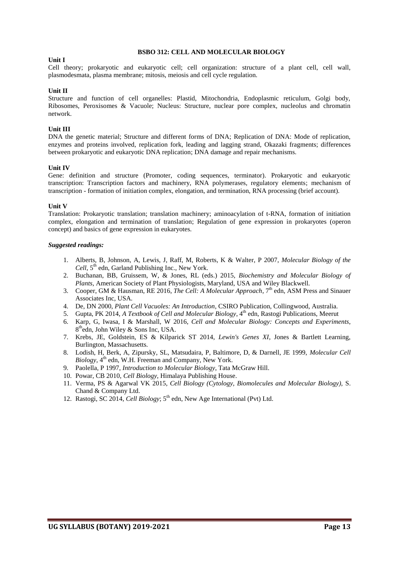#### **BSBO 312: CELL AND MOLECULAR BIOLOGY**

#### **Unit I**

Cell theory; prokaryotic and eukaryotic cell; cell organization: structure of a plant cell, cell wall, plasmodesmata, plasma membrane; mitosis, meiosis and cell cycle regulation.

#### **Unit II**

Structure and function of cell organelles: Plastid, Mitochondria, Endoplasmic reticulum, Golgi body, Ribosomes, Peroxisomes & Vacuole; Nucleus: Structure, nuclear pore complex, nucleolus and chromatin network.

#### **Unit III**

DNA the genetic material; Structure and different forms of DNA; Replication of DNA: Mode of replication, enzymes and proteins involved, replication fork, leading and lagging strand, Okazaki fragments; differences between prokaryotic and eukaryotic DNA replication; DNA damage and repair mechanisms.

#### **Unit IV**

Gene: definition and structure (Promoter, coding sequences, terminator). Prokaryotic and eukaryotic transcription: Transcription factors and machinery, RNA polymerases, regulatory elements; mechanism of transcription - formation of initiation complex, elongation, and termination, RNA processing (brief account).

#### **Unit V**

Translation: Prokaryotic translation; translation machinery; aminoacylation of t-RNA, formation of initiation complex, elongation and termination of translation; Regulation of gene expression in prokaryotes (operon concept) and basics of gene expression in eukaryotes.

- 1. Alberts, B, Johnson, A, Lewis, J, Raff, M, Roberts, K & Walter, P 2007, *Molecular Biology of the*  Cell, 5<sup>th</sup> edn, Garland Publishing Inc., New York.
- 2. Buchanan, BB, Gruissem, W, & Jones, RL (eds.) 2015, *Biochemistry and Molecular Biology of Plants*, American Society of Plant Physiologists, Maryland, USA and Wiley Blackwell.
- 3. Cooper, GM & Hausman, RE 2016, *The Cell: A Molecular Approach*, 7<sup>th</sup> edn, ASM Press and Sinauer Associates Inc, USA.
- 4. De, DN 2000, *Plant Cell Vacuoles: An Introduction*, CSIRO Publication, Collingwood, Australia.
- 5. Gupta, PK 2014, *A Textbook of Cell and Molecular Biology*, 4<sup>th</sup> edn, Rastogi Publications, Meerut
- 6. Karp, G, Iwasa, I & Marshall, W 2016, *Cell and Molecular Biology: Concepts and Experiments*, 8<sup>th</sup>edn, John Wiley & Sons Inc, USA.
- 7. Krebs, JE, Goldstein, ES & Kilparick ST 2014, *Lewin's Genes XI*, Jones & Bartlett Learning, Burlington, Massachusetts.
- 8. Lodish, H, Berk, A, Zipursky, SL, Matsudaira, P, Baltimore, D, & Darnell, JE 1999, *Molecular Cell*  Biology, 4<sup>th</sup> edn, W.H. Freeman and Company, New York.
- 9. Paolella, P 1997, *Introduction to Molecular Biology*, Tata McGraw Hill.
- 10. Powar, CB 2010, *Cell Biology*, Himalaya Publishing House.
- 11. Verma, PS & Agarwal VK 2015, *Cell Biology (Cytology, Biomolecules and Molecular Biology),* S. Chand & Company Ltd.
- 12. Rastogi, SC 2014, *Cell Biology*; 5<sup>th</sup> edn, New Age International (Pvt) Ltd.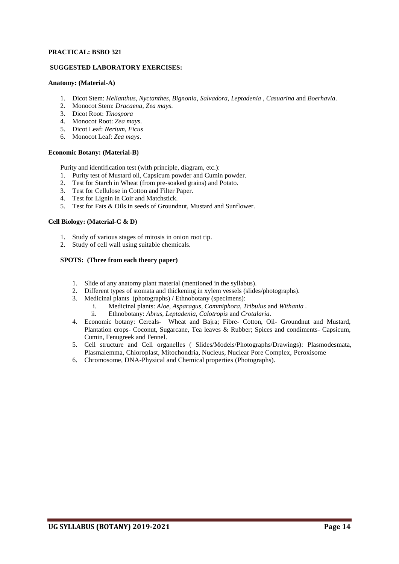#### **SUGGESTED LABORATORY EXERCISES:**

#### **Anatomy: (Material-A)**

- 1. Dicot Stem: *Helianthus*, *Nyctanthes, Bignonia, Salvadora, Leptadenia , Casuarina* and *Boerhavia*.
- 2. Monocot Stem: *Dracaena, Zea mays*.
- 3. Dicot Root: *Tinospora*
- 4. Monocot Root: *Zea mays*.
- 5. Dicot Leaf: *Nerium, Ficus*
- 6. Monocot Leaf: *Zea mays*.

#### **Economic Botany: (Material-B)**

Purity and identification test (with principle, diagram, etc.):

- 1. Purity test of Mustard oil, Capsicum powder and Cumin powder.
- 2. Test for Starch in Wheat (from pre-soaked grains) and Potato.
- 3. Test for Cellulose in Cotton and Filter Paper.
- 4. Test for Lignin in Coir and Matchstick.
- 5. Test for Fats & Oils in seeds of Groundnut, Mustard and Sunflower.

#### **Cell Biology: (Material-C & D)**

- 1. Study of various stages of mitosis in onion root tip.
- 2. Study of cell wall using suitable chemicals.

#### **SPOTS: (Three from each theory paper)**

- 1. Slide of any anatomy plant material (mentioned in the syllabus).
- 2. Different types of stomata and thickening in xylem vessels (slides/photographs).
- 3. Medicinal plants (photographs) / Ethnobotany (specimens):
	- i. Medicinal plants: *Aloe, Asparagus, Commiphora, Tribulus* and *Withania .*
	- ii. Ethnobotany: *Abrus, Leptadenia, Calotropis* and *Crotalaria*.
- 4. Economic botany: Cereals- Wheat and Bajra; Fibre- Cotton, Oil- Groundnut and Mustard, Plantation crops- Coconut, Sugarcane, Tea leaves & Rubber; Spices and condiments- Capsicum, Cumin, Fenugreek and Fennel.
- 5. Cell structure and Cell organelles ( Slides/Models/Photographs/Drawings): Plasmodesmata, Plasmalemma, Chloroplast, Mitochondria, Nucleus, Nuclear Pore Complex, Peroxisome
- 6. Chromosome, DNA-Physical and Chemical properties (Photographs).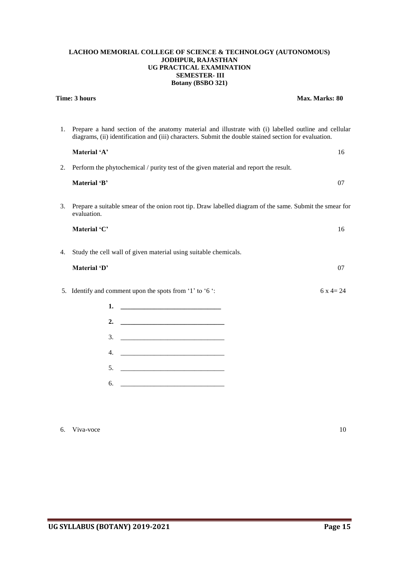#### **LACHOO MEMORIAL COLLEGE OF SCIENCE & TECHNOLOGY (AUTONOMOUS) JODHPUR, RAJASTHAN UG PRACTICAL EXAMINATION SEMESTER- III Botany (BSBO 321)**

**Time: 3 hours** Max. Marks: 80

| 1. | Prepare a hand section of the anatomy material and illustrate with (i) labelled outline and cellular<br>diagrams, (ii) identification and (iii) characters. Submit the double stained section for evaluation. |
|----|---------------------------------------------------------------------------------------------------------------------------------------------------------------------------------------------------------------|
|    | Material 'A'<br>16                                                                                                                                                                                            |
| 2. | Perform the phytochemical / purity test of the given material and report the result.                                                                                                                          |
|    | Material 'B'<br>07                                                                                                                                                                                            |
| 3. | Prepare a suitable smear of the onion root tip. Draw labelled diagram of the same. Submit the smear for<br>evaluation.                                                                                        |
|    | Material 'C'<br>16                                                                                                                                                                                            |
| 4. | Study the cell wall of given material using suitable chemicals.                                                                                                                                               |
|    | Material 'D'<br>07                                                                                                                                                                                            |
|    | 5. Identify and comment upon the spots from '1' to '6 ':<br>$6x4=24$                                                                                                                                          |
|    |                                                                                                                                                                                                               |
|    |                                                                                                                                                                                                               |
|    |                                                                                                                                                                                                               |
|    |                                                                                                                                                                                                               |
|    |                                                                                                                                                                                                               |
|    |                                                                                                                                                                                                               |
|    |                                                                                                                                                                                                               |
|    |                                                                                                                                                                                                               |

6. Viva-voce 10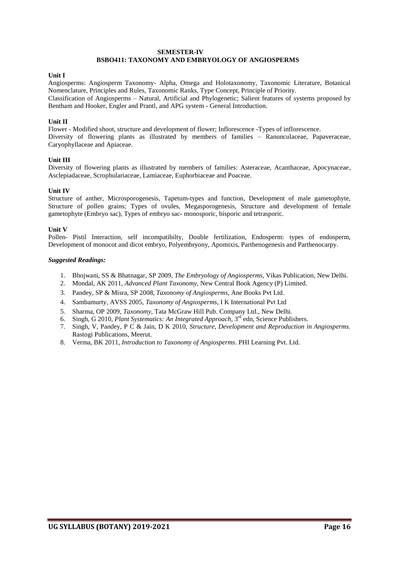#### **SEMESTER-IV**

#### **BSBO411: TAXONOMY AND EMBRYOLOGY OF ANGIOSPERMS**

#### **Unit I**

Angiosperms: Angiosperm Taxonomy- Alpha, Omega and Holotaxonomy, Taxonomic Literature, Botanical Nomenclature, Principles and Rules, Taxonomic Ranks, Type Concept, Principle of Priority. Classification of Angiosperms – Natural, Artificial and Phylogenetic; Salient features of systems proposed by Bentham and Hooker, Engler and Prantl, and APG system - General Introduction.

#### **Unit II**

Flower - Modified shoot, structure and development of flower; Inflorescence -Types of inflorescence. Diversity of flowering plants as illustrated by members of families – Ranunculaceae, Papaveraceae, Caryophyllaceae and Apiaceae.

#### **Unit III**

Diversity of flowering plants as illustrated by members of families: Asteraceae, Acanthaceae, Apocynaceae, Asclepiadaceae, Scrophulariaceae, Lamiaceae, Euphorbiaceae and Poaceae.

#### **Unit IV**

Structure of anther, Microsporogenesis, Tapetum-types and function, Development of male gametophyte, Structure of pollen grains; Types of ovules, Megasporogenesis, Structure and development of female gametophyte (Embryo sac), Types of embryo sac- monosporic, bisporic and tetrasporic.

#### **Unit V**

Pollen- Pistil Interaction, self incompatibilty, Double fertilization, Endosperm: types of endosperm, Development of monocot and dicot embryo, Polyembryony, Apomixis, Parthenogenesis and Parthenocarpy.

- 1. Bhojwani, SS & Bhatnagar, SP 2009, *The Embryology of Angiosperms*, Vikas Publication, New Delhi.
- 2. [Mondal,](http://www.google.co.in/search?tbo=p&tbm=bks&q=inauthor:%22A.K.+Mondal%22) AK 2011, *[Advanced Plant Taxonomy](http://www.google.co.in/search?tbo=p&tbm=bks&q=subject:%22Advanced+plant+taxonomy%22&source=gbs_ge_summary_r&cad=0)*, New Central Book Agency (P) Limited.
- 3. Pandey, SP & Misra, SP 2008, *Taxonomy of Angiosperms*, Ane Books Pvt Ltd.
- 4. [Sambamurty,](https://www.google.co.in/search?tbo=p&tbm=bks&q=inauthor:%22A.+V.+S.+S.+Sambamurty%22) AVSS 2005, *Taxonomy of Angiosperms*, I K International Pvt Ltd
- 5. Sharma, OP 2009, *Taxonomy,* Tata McGraw Hill Pub. Company Ltd., New Delhi.
- 6. Singh, G 2010, *Plant Systematics: An Integrated Approach,* 3 rd edn, Science Publishers.
- 7. Singh, V, Pandey, P C & Jain, D K 2010, *Structure, Development and Reproduction in Angiosperms.* Rastogi Publications, Meerut.
- 8. Verma, BK 2011, *Introduction to Taxonomy of Angiosperms*. PHI Learning Pvt. Ltd.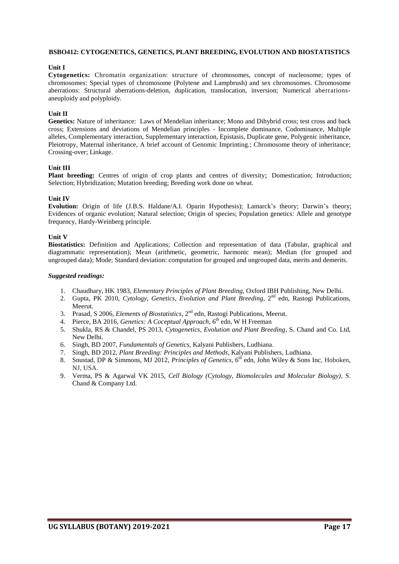#### **BSBO412: CYTOGENETICS, GENETICS, PLANT BREEDING, EVOLUTION AND BIOSTATISTICS**

#### **Unit I**

**Cytogenetics:** Chromatin organization: structure of chromosomes, concept of nucleosome; types of chromosomes: Special types of chromosome (Polytene and Lampbrush) and sex chromosomes. Chromosome aberrations: Structural aberrations-deletion, duplication, translocation, inversion; Numerical aberrationsaneuploidy and polyploidy.

#### **Unit II**

**Genetics:** Nature of inheritance: Laws of Mendelian inheritance; Mono and Dihybrid cross; test cross and back cross; Extensions and deviations of Mendelian principles - Incomplete dominance, Codominance, Multiple alleles, Complementary interaction, Supplementary interaction, Epistasis, Duplicate gene, Polygenic inheritance, Pleiotropy, Maternal inheritance, A brief account of Genomic Imprinting.; Chromosome theory of inheritance; Crossing-over; Linkage.

#### **Unit III**

**Plant breeding:** Centres of origin of crop plants and centres of diversity; Domestication; Introduction; Selection; Hybridization; Mutation breeding; Breeding work done on wheat.

#### **Unit IV**

**Evolution:** Origin of life (J.B.S. Haldane/A.I. Oparin Hypothesis); Lamarck's theory; Darwin's theory; Evidences of organic evolution; Natural selection; Origin of species; Population genetics: Allele and genotype frequency, Hardy-Weinberg principle.

#### **Unit V**

**Biostatistics:** Definition and Applications; Collection and representation of data (Tabular, graphical and diagrammatic representation); Mean (arithmetic, geometric, harmonic mean); Median (for grouped and ungrouped data); Mode; Standard deviation: computation for grouped and ungrouped data, merits and demerits.

- 1. Chaudhary, HK 1983, *Elementary Principles of Plant Breeding,* Oxford IBH Publishing, New Delhi.
- 2. Gupta, PK 2010, *Cytology, Genetics, Evolution and Plant Breeding*, 2<sup>nd</sup> edn, Rastogi Publications, Meerut.
- 3. Prasad, S 2006, *Elements of Biostatistics*, 2<sup>nd</sup> edn, Rastogi Publications, Meerut.
- 4. Pierce, BA 2016, Genetics: A Coceptual Approach, 6<sup>th</sup> edn, W H Freeman
- 5. Shukla, RS & Chandel, PS 2013, *Cytogenetics, Evolution and Plant Breeding*, S. Chand and Co. Ltd, New Delhi.
- 6. Singh, BD 2007, *Fundamentals of Genetics*, Kalyani Publishers, Ludhiana.
- 7. Singh, BD 2012, *Plant Breeding: Principles and Methods*, Kalyani Publishers, Ludhiana.
- 8. Snustad, DP & Simmons, MJ 2012, *Principles of Genetics*, 6<sup>th</sup> edn, John Wiley & Sons Inc, Hoboken, NJ, USA.
- 9. Verma, PS & Agarwal VK 2015, *Cell Biology (Cytology, Biomolecules and Molecular Biology),* S. Chand & Company Ltd.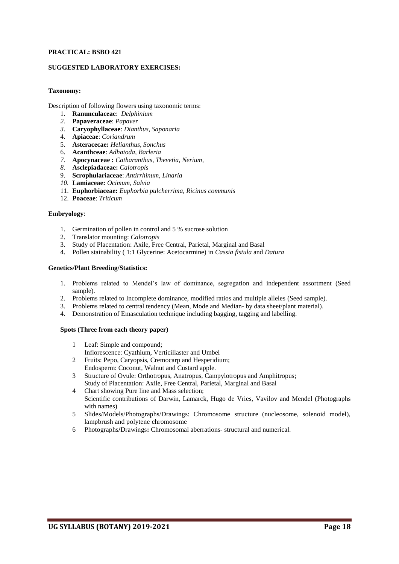#### **SUGGESTED LABORATORY EXERCISES:**

#### **Taxonomy:**

Description of following flowers using taxonomic terms:

- 1. **Ranunculaceae**: *Delphinium*
- *2.* **Papaveraceae**: *Papaver*
- *3.* **Caryophyllaceae**: *Dianthus, Saponaria*
- 4. **Apiaceae**: *Coriandrum*
- 5. **Asteracecae:** *Helianthus, Sonchus*
- 6. **Acanthceae**: *Adhatoda, Barleria*
- *7.* **Apocynaceae :** *Catharanthus, Thevetia, Nerium,*
- *8.* **Asclepiadaceae:** *Calotropis*
- 9. **Scrophulariaceae**: *Antirrhinum, Linaria*
- *10.* **Lamiaceae:** *Ocimum, Salvia*
- 11. **Euphorbiaceae:** *Euphorbia pulcherrima, Ricinus communis*
- 12. **Poaceae**: *Triticum*

#### **Embryology**:

- 1. Germination of pollen in control and 5 % sucrose solution
- 2. Translator mounting: *Calotropis*
- 3. Study of Placentation: Axile, Free Central, Parietal, Marginal and Basal
- 4. Pollen stainability ( 1:1 Glycerine: Acetocarmine) in *Cassia fistula* and *Datura*

#### **Genetics/Plant Breeding/Statistics:**

- 1. Problems related to Mendel's law of dominance, segregation and independent assortment (Seed sample).
- 2. Problems related to Incomplete dominance, modified ratios and multiple alleles (Seed sample).
- 3. Problems related to central tendency (Mean, Mode and Median- by data sheet/plant material).
- 4. Demonstration of Emasculation technique including bagging, tagging and labelling.

#### **Spots (Three from each theory paper)**

- 1 Leaf: Simple and compound;
- Inflorescence: Cyathium, Verticillaster and Umbel
- 2 Fruits: Pepo, Caryopsis, Cremocarp and Hesperidium;
- Endosperm: Coconut, Walnut and Custard apple.
- 3 Structure of Ovule: Orthotropus, Anatropus, Campylotropus and Amphitropus; Study of Placentation: Axile, Free Central, Parietal, Marginal and Basal
- 4 Chart showing Pure line and Mass selection; Scientific contributions of Darwin, Lamarck, Hugo de Vries, Vavilov and Mendel (Photographs with names)
- 5 Slides/Models/Photographs/Drawings: Chromosome structure (nucleosome, solenoid model), lampbrush and polytene chromosome
- 6 Photographs**/**Drawings**:** Chromosomal aberrations- structural and numerical.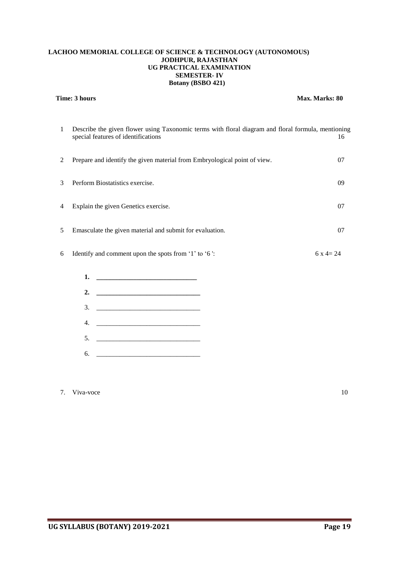#### **LACHOO MEMORIAL COLLEGE OF SCIENCE & TECHNOLOGY (AUTONOMOUS) JODHPUR, RAJASTHAN UG PRACTICAL EXAMINATION SEMESTER- IV Botany (BSBO 421)**

#### **Time: 3 hours** Max. Marks: 80

| 1 | Describe the given flower using Taxonomic terms with floral diagram and floral formula, mentioning<br>special features of identifications | 16         |
|---|-------------------------------------------------------------------------------------------------------------------------------------------|------------|
| 2 | Prepare and identify the given material from Embryological point of view.                                                                 | 07         |
| 3 | Perform Biostatistics exercise.                                                                                                           | 09         |
| 4 | Explain the given Genetics exercise.                                                                                                      | 07         |
| 5 | Emasculate the given material and submit for evaluation.                                                                                  | 07         |
| 6 | Identify and comment upon the spots from '1' to '6':                                                                                      | $6x4 = 24$ |
|   | 1. $\qquad \qquad$                                                                                                                        |            |
|   | 2.                                                                                                                                        |            |
|   | 3.                                                                                                                                        |            |
|   | 4.                                                                                                                                        |            |
|   | 5.                                                                                                                                        |            |
|   | 6.                                                                                                                                        |            |

### 7. Viva-voce 10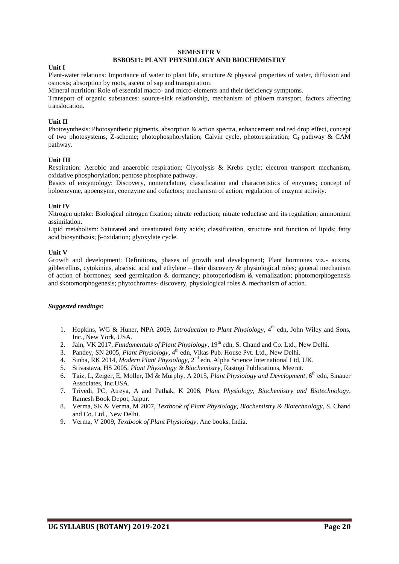### **SEMESTER V**

#### **BSBO511: PLANT PHYSIOLOGY AND BIOCHEMISTRY**

#### **Unit I**

Plant-water relations: Importance of water to plant life, structure & physical properties of water, diffusion and osmosis; absorption by roots, ascent of sap and transpiration.

Mineral nutrition: Role of essential macro- and micro-elements and their deficiency symptoms.

Transport of organic substances: source-sink relationship, mechanism of phloem transport, factors affecting translocation.

#### **Unit II**

Photosynthesis: Photosynthetic pigments, absorption & action spectra, enhancement and red drop effect, concept of two photosystems, Z-scheme; photophosphorylation; Calvin cycle, photorespiration;  $C_4$  pathway & CAM pathway.

#### **Unit III**

Respiration: Aerobic and anaerobic respiration; Glycolysis & Krebs cycle; electron transport mechanism, oxidative phosphorylation; pentose phosphate pathway.

Basics of enzymology: Discovery, nomenclature, classification and characteristics of enzymes; concept of holoenzyme, apoenzyme, coenzyme and cofactors; mechanism of action; regulation of enzyme activity.

#### **Unit IV**

Nitrogen uptake: Biological nitrogen fixation; nitrate reduction; nitrate reductase and its regulation; ammonium assimilation.

Lipid metabolism: Saturated and unsaturated fatty acids; classification, structure and function of lipids; fatty acid biosynthesis; β-oxidation; glyoxylate cycle.

#### **Unit V**

Growth and development: Definitions, phases of growth and development; Plant hormones viz.- auxins, gibberellins, cytokinins, abscisic acid and ethylene – their discovery & physiological roles; general mechanism of action of hormones; seed germination & dormancy; photoperiodism & vernalization; photomorphogenesis and skotomorphogenesis; phytochromes- discovery, physiological roles & mechanism of action.

- 1. Hopkins, WG & Huner, NPA 2009, *Introduction to Plant Physiology*, 4<sup>th</sup> edn, John Wiley and Sons, Inc., New York, USA.
- 2. Jain, VK 2017, *Fundamentals of Plant Physiology*, 19<sup>th</sup> edn, S. Chand and Co. Ltd., New Delhi.
- 3. Pandey, SN 2005, *Plant Physiology*, 4<sup>th</sup> edn, Vikas Pub. House Pvt. Ltd., New Delhi.
- 4. Sinha, RK 2014, *Modern Plant Physiology*, 2<sup>nd</sup> edn, Alpha Science International Ltd, UK.
- 5. Srivastava, HS 2005, *Plant Physiology & Biochemistry*, Rastogi Publications, Meerut.
- 6. Taiz, L, Zeiger, E, Moller, IM & Murphy, A 2015, *Plant Physiology and Development*, 6 th edn, Sinauer Associates, Inc.USA.
- 7. Trivedi, PC, Atreya, A and Pathak, K 2006, *Plant Physiology, Biochemistry and Biotechnology*, Ramesh Book Depot, Jaipur.
- 8. Verma, SK & Verma, M 2007, *Textbook of Plant Physiology, Biochemistry & Biotechnology*, S. Chand and Co. Ltd., New Delhi.
- 9. Verma, V 2009, *Textbook of Plant Physiology*, Ane books, India.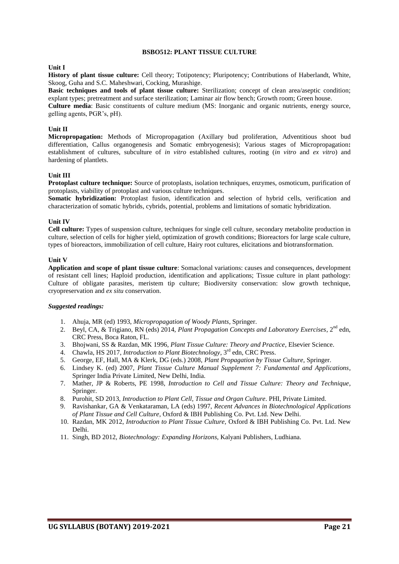#### **BSBO512: PLANT TISSUE CULTURE**

#### **Unit I**

**History of plant tissue culture:** Cell theory; Totipotency; Pluripotency; Contributions of Haberlandt, White, Skoog, Guha and S.C. Maheshwari, Cocking, Murashige.

**Basic techniques and tools of plant tissue culture:** Sterilization; concept of clean area/aseptic condition; explant types; pretreatment and surface sterilization; Laminar air flow bench; Growth room; Green house.

**Culture media**: Basic constituents of culture medium (MS: Inorganic and organic nutrients, energy source, gelling agents, PGR's, pH).

#### **Unit II**

**Micropropagation:** Methods of Micropropagation (Axillary bud proliferation, Adventitious shoot bud differentiation, Callus organogenesis and Somatic embryogenesis); Various stages of Micropropagation**:** establishment of cultures, subculture of *in vitro* established cultures, rooting (*in vitro* and *ex vitro*) and hardening of plantlets.

#### **Unit III**

**Protoplast culture technique:** Source of protoplasts, isolation techniques, enzymes, osmoticum, purification of protoplasts, viability of protoplast and various culture techniques.

**Somatic hybridization:** Protoplast fusion, identification and selection of hybrid cells, verification and characterization of somatic hybrids, cybrids, potential, problems and limitations of somatic hybridization.

#### **Unit IV**

**Cell culture:** Types of suspension culture, techniques for single cell culture, secondary metabolite production in culture, selection of cells for higher yield, optimization of growth conditions; Bioreactors for large scale culture, types of bioreactors, immobilization of cell culture, Hairy root cultures, elicitations and biotransformation.

#### **Unit V**

**Application and scope of plant tissue culture**: Somaclonal variations: causes and consequences, development of resistant cell lines; Haploid production, identification and applications; Tissue culture in plant pathology: Culture of obligate parasites, meristem tip culture; Biodiversity conservation: slow growth technique, cryopreservation and *ex situ* conservation.

- 1. Ahuja, MR (ed) 1993, *Micropropagation of Woody Plants*, Springer.
- 2. Beyl, CA, & Trigiano, RN (eds) 2014, *Plant Propagation Concepts and Laboratory Exercises*, 2<sup>nd</sup> edn, CRC Press, Boca Raton, FL.
- 3. Bhojwani, SS & Razdan, MK 1996, *Plant Tissue Culture: Theory and Practice*, Elsevier Science.
- 4. Chawla, HS 2017, *Introduction to Plant Biotechnology*, 3<sup>rd</sup> edn, CRC Press.
- 5. George, EF, Hall, MA & Klerk, DG (eds.) 2008, *Plant Propagation by Tissue Culture,* Springer.
- 6. Lindsey K. (ed) 2007, *Plant Tissue Culture Manual Supplement 7: Fundamental and Applications*, Springer India Private Limited, New Delhi, India.
- 7. Mather, JP & Roberts, PE 1998, *Introduction to Cell and Tissue Culture: Theory and Technique*, Springer.
- 8. Purohit, SD 2013, *Introduction to Plant Cell, Tissue and Organ Culture*. PHI, Private Limited.
- 9. Ravishankar, GA & Venkataraman, LA (eds) 1997, *Recent Advances in Biotechnological Applications of Plant Tissue and Cell Culture*, Oxford & IBH Publishing Co. Pvt. Ltd. New Delhi.
- 10. Razdan, MK 2012, *Introduction to Plant Tissue Culture,* Oxford & IBH Publishing Co. Pvt. Ltd. New Delhi.
- 11. Singh, BD 2012, *Biotechnology: Expanding Horizons*, Kalyani Publishers, Ludhiana.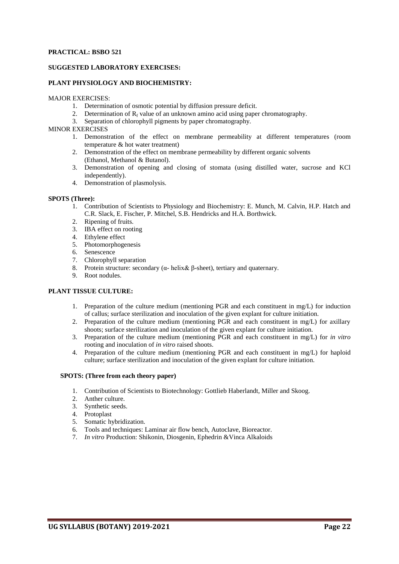#### **SUGGESTED LABORATORY EXERCISES:**

#### **PLANT PHYSIOLOGY AND BIOCHEMISTRY:**

#### MAJOR EXERCISES:

- 1. Determination of osmotic potential by diffusion pressure deficit.
- 2. Determination of  $R_f$  value of an unknown amino acid using paper chromatography.
- 3. Separation of chlorophyll pigments by paper chromatography.

#### MINOR EXERCISES

- 1. Demonstration of the effect on membrane permeability at different temperatures (room temperature & hot water treatment)
- 2. Demonstration of the effect on membrane permeability by different organic solvents (Ethanol, Methanol & Butanol).
- 3. Demonstration of opening and closing of stomata (using distilled water, sucrose and KCl independently).
- 4. Demonstration of plasmolysis.

#### **SPOTS (Three):**

- 1. Contribution of Scientists to Physiology and Biochemistry: E. Munch, M. Calvin, H.P. Hatch and C.R. Slack, E. Fischer, P. Mitchel, S.B. Hendricks and H.A. Borthwick.
- 2. Ripening of fruits.
- 3. IBA effect on rooting
- 4. Ethylene effect
- 5. Photomorphogenesis
- 6. Senescence
- 7. Chlorophyll separation
- 8. Protein structure: secondary (α- helix& β-sheet), tertiary and quaternary.
- 9. Root nodules.

### **PLANT TISSUE CULTURE:**

- 1. Preparation of the culture medium (mentioning PGR and each constituent in  $mg/L$ ) for induction of callus; surface sterilization and inoculation of the given explant for culture initiation.
- 2. Preparation of the culture medium (mentioning PGR and each constituent in  $mg/L$ ) for axillary shoots; surface sterilization and inoculation of the given explant for culture initiation.
- 3. Preparation of the culture medium (mentioning PGR and each constituent in mg/L) for *in vitro* rooting and inoculation of *in vitro* raised shoots.
- 4. Preparation of the culture medium (mentioning PGR and each constituent in mg/L) for haploid culture; surface sterilization and inoculation of the given explant for culture initiation.

#### **SPOTS: (Three from each theory paper)**

- 1. Contribution of Scientists to Biotechnology: Gottlieb Haberlandt, Miller and Skoog.
- 2. Anther culture.
- 3. Synthetic seeds.
- 4. Protoplast
- 5. Somatic hybridization.
- 6. Tools and techniques: Laminar air flow bench, Autoclave, Bioreactor.
- 7. *In vitro* Production: Shikonin, Diosgenin, Ephedrin &Vinca Alkaloids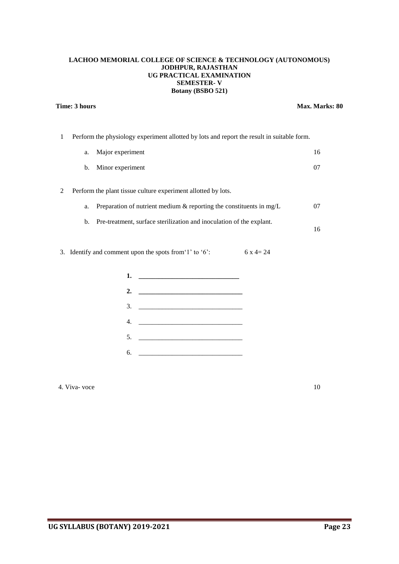#### **LACHOO MEMORIAL COLLEGE OF SCIENCE & TECHNOLOGY (AUTONOMOUS) JODHPUR, RAJASTHAN UG PRACTICAL EXAMINATION SEMESTER- V Botany (BSBO 521)**

#### **Time: 3 hours** Max. Marks: 80

1 Perform the physiology experiment allotted by lots and report the result in suitable form.

| a. | Major experiment                                                        | 16 |
|----|-------------------------------------------------------------------------|----|
| b. | Minor experiment                                                        | 07 |
|    | Perform the plant tissue culture experiment allotted by lots.           |    |
| a. | Preparation of nutrient medium $\&$ reporting the constituents in mg/L  | 07 |
|    | b. Pre-treatment, surface sterilization and inoculation of the explant. | 16 |

3. Identify and comment upon the spots from '1' to '6': 6  $x = 24$ 

|    | 1. $\qquad \qquad$                                                                                                                                                                                                                                                                                                                                                                                                                                    |
|----|-------------------------------------------------------------------------------------------------------------------------------------------------------------------------------------------------------------------------------------------------------------------------------------------------------------------------------------------------------------------------------------------------------------------------------------------------------|
|    | 2. $\qquad \qquad$                                                                                                                                                                                                                                                                                                                                                                                                                                    |
|    |                                                                                                                                                                                                                                                                                                                                                                                                                                                       |
|    |                                                                                                                                                                                                                                                                                                                                                                                                                                                       |
|    | 5.                                                                                                                                                                                                                                                                                                                                                                                                                                                    |
| 6. | $\begin{tabular}{ccccc} \multicolumn{2}{c }{\textbf{1} & \multicolumn{2}{c }{\textbf{2} & \multicolumn{2}{c }{\textbf{3} & \multicolumn{2}{c }{\textbf{4} & \multicolumn{2}{c }{\textbf{5} & \multicolumn{2}{c }{\textbf{6} & \multicolumn{2}{c }{\textbf{6} & \multicolumn{2}{c }{\textbf{6} & \multicolumn{2}{c }{\textbf{6} & \multicolumn{2}{c }{\textbf{6} & \multicolumn{2}{c }{\textbf{6} & \multicolumn{2}{c }{\textbf{6} & \multicolumn{2}{$ |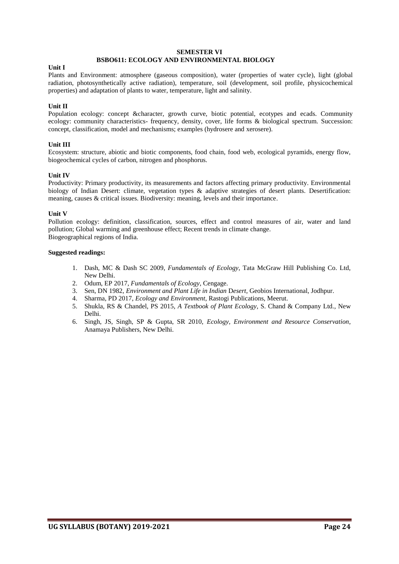#### **SEMESTER VI**

#### **BSBO611: ECOLOGY AND ENVIRONMENTAL BIOLOGY**

#### **Unit I**

Plants and Environment: atmosphere (gaseous composition), water (properties of water cycle), light (global radiation, photosynthetically active radiation), temperature, soil (development, soil profile, physicochemical properties) and adaptation of plants to water, temperature, light and salinity.

#### **Unit II**

Population ecology: concept &character, growth curve, biotic potential, ecotypes and ecads. Community ecology: community characteristics- frequency, density, cover, life forms & biological spectrum. Succession: concept, classification, model and mechanisms; examples (hydrosere and xerosere).

#### **Unit III**

Ecosystem: structure, abiotic and biotic components, food chain, food web, ecological pyramids, energy flow, biogeochemical cycles of carbon, nitrogen and phosphorus.

#### **Unit IV**

Productivity: Primary productivity, its measurements and factors affecting primary productivity. Environmental biology of Indian Desert: climate, vegetation types & adaptive strategies of desert plants. Desertification: meaning, causes & critical issues. Biodiversity: meaning, levels and their importance.

#### **Unit V**

Pollution ecology: definition, classification, sources, effect and control measures of air, water and land pollution; Global warming and greenhouse effect; Recent trends in climate change. Biogeographical regions of India.

- 1. Dash, MC & Dash SC 2009, *Fundamentals of Ecology*, Tata McGraw Hill Publishing Co. Ltd, New Delhi.
- 2. Odum, EP 2017, *Fundamentals of Ecology*, Cengage.
- 3. Sen, DN 1982, *Environment and Plant Life in Indian* D*esert*, Geobios International, Jodhpur.
- 4. Sharma, PD 2017, *Ecology and Environment*, Rastogi Publications, Meerut.
- 5. Shukla, RS & Chandel, PS 2015, *A Textbook of Plant Ecology*, S. Chand & Company Ltd., New Delhi.
- 6. Singh, JS, Singh, SP & Gupta, SR 2010, *Ecology, Environment and Resource Conservation*, Anamaya Publishers, New Delhi.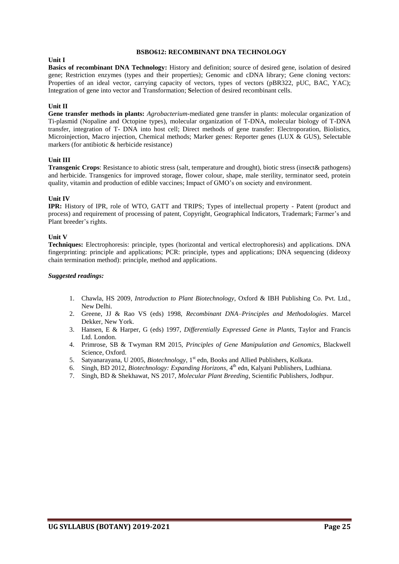#### **BSBO612: RECOMBINANT DNA TECHNOLOGY**

#### **Unit I**

**Basics of recombinant DNA Technology:** History and definition; source of desired gene, isolation of desired gene; Restriction enzymes (types and their properties); Genomic and cDNA library; Gene cloning vectors: Properties of an ideal vector, carrying capacity of vectors, types of vectors (pBR322, pUC, BAC, YAC); Integration of gene into vector and Transformation; **S**election of desired recombinant cells.

#### **Unit II**

**Gene transfer methods in plants:** *Agrobacterium*-mediated gene transfer in plants: molecular organization of Ti-plasmid (Nopaline and Octopine types), molecular organization of T-DNA, molecular biology of T-DNA transfer, integration of T- DNA into host cell; Direct methods of gene transfer: Electroporation, Biolistics, Microinjection, Macro injection, Chemical methods; Marker genes: Reporter genes (LUX & GUS), Selectable markers (for antibiotic & herbicide resistance)

#### **Unit III**

**Transgenic Crops**: Resistance to abiotic stress (salt, temperature and drought), biotic stress (insect& pathogens) and herbicide. Transgenics for improved storage, flower colour, shape, male sterility, terminator seed, protein quality, vitamin and production of edible vaccines; Impact of GMO's on society and environment.

#### **Unit IV**

**IPR:** History of IPR, role of WTO, GATT and TRIPS; Types of intellectual property - Patent (product and process) and requirement of processing of patent, Copyright, Geographical Indicators, Trademark; Farmer's and Plant breeder's rights.

#### **Unit V**

**Techniques:** Electrophoresis: principle, types (horizontal and vertical electrophoresis) and applications. DNA fingerprinting: principle and applications; PCR: principle, types and applications; DNA sequencing (dideoxy chain termination method): principle, method and applications.

- 1. Chawla, HS 2009, *Introduction to Plant Biotechnology*, Oxford & IBH Publishing Co. Pvt. Ltd., New Delhi.
- 2. Greene, JJ & Rao VS (eds) 1998, *Recombinant DNA–Principles and Methodologies*. Marcel Dekker, New York.
- 3. Hansen, E & Harper, G (eds) 1997, *Differentially Expressed Gene in Plants*, Taylor and Francis Ltd. London.
- 4. Primrose, SB & Twyman RM 2015, *Principles of Gene Manipulation and Genomics*, Blackwell Science, Oxford.
- 5. Satyanarayana, U 2005, *Biotechnology*, 1<sup>st</sup> edn, Books and Allied Publishers, Kolkata.
- 6. Singh, BD 2012, *Biotechnology: Expanding Horizons*, 4<sup>th</sup> edn, Kalyani Publishers, Ludhiana.
- 7. Singh, BD & Shekhawat, NS 2017, *Molecular Plant Breeding*, Scientific Publishers, Jodhpur.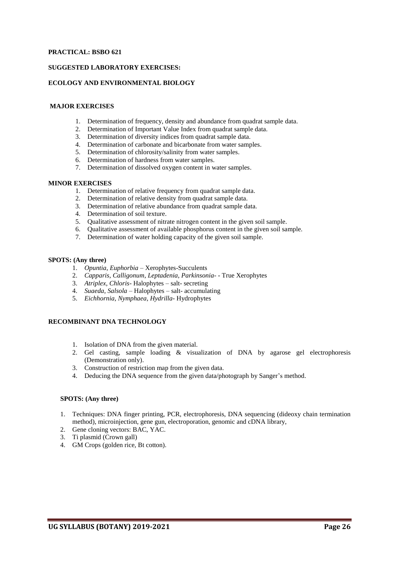#### **SUGGESTED LABORATORY EXERCISES:**

#### **ECOLOGY AND ENVIRONMENTAL BIOLOGY**

#### **MAJOR EXERCISES**

- 1. Determination of frequency, density and abundance from quadrat sample data.
- 2. Determination of Important Value Index from quadrat sample data.
- 3. Determination of diversity indices from quadrat sample data.
- 4. Determination of carbonate and bicarbonate from water samples.
- 5. Determination of chlorosity/salinity from water samples.
- 6. Determination of hardness from water samples.
- 7. Determination of dissolved oxygen content in water samples.

#### **MINOR EXERCISES**

- 1. Determination of relative frequency from quadrat sample data.
- 2. Determination of relative density from quadrat sample data.
- 3. Determination of relative abundance from quadrat sample data.
- 4. Determination of soil texture.
- 5. Qualitative assessment of nitrate nitrogen content in the given soil sample.
- 6. Qualitative assessment of available phosphorus content in the given soil sample.
- 7. Determination of water holding capacity of the given soil sample.

#### **SPOTS: (Any three)**

- 1. *Opuntia*, *Euphorbia* Xerophytes-Succulents
- 2. *Capparis*, *Calligonum*, *Leptadenia*, *Parkinsonia* - True Xerophytes
- 3. *Atriplex*, *Chloris* Halophytes salt- secreting
- 4. *Suaeda*, *Salsola* Halophytes salt- accumulating
- 5. *Eichhornia*, *Nymphaea*, *Hydrilla* Hydrophytes

#### **RECOMBINANT DNA TECHNOLOGY**

- 1. Isolation of DNA from the given material.
- 2. Gel casting, sample loading & visualization of DNA by agarose gel electrophoresis (Demonstration only).
- 3. Construction of restriction map from the given data.
- 4. Deducing the DNA sequence from the given data/photograph by Sanger's method.

#### **SPOTS: (Any three)**

- 1. Techniques: DNA finger printing, PCR, electrophoresis, DNA sequencing (dideoxy chain termination method), microinjection, gene gun, electroporation, genomic and cDNA library,
- 2. Gene cloning vectors: BAC, YAC.
- 3. Ti plasmid (Crown gall)
- 4. GM Crops (golden rice, Bt cotton).